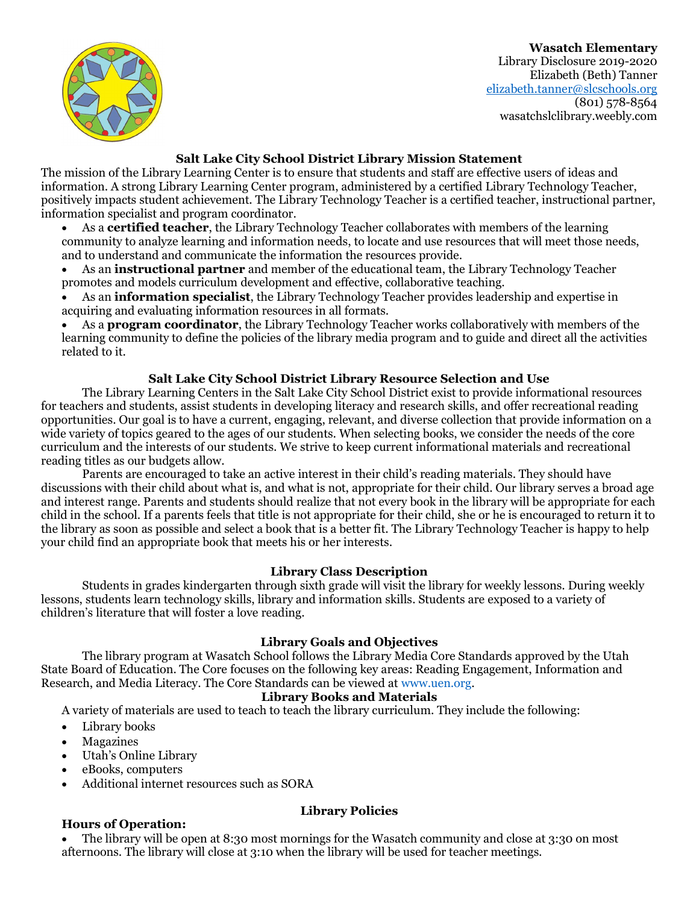Wasatch Elementary Library Disclosure 2019-2020 Elizabeth (Beth) Tanner elizabeth.tanner@slcschools.org  $(801)$  578-8564 wasatchslclibrary.weebly.com



### Salt Lake City School District Library Mission Statement

The mission of the Library Learning Center is to ensure that students and staff are effective users of ideas and information. A strong Library Learning Center program, administered by a certified Library Technology Teacher, positively impacts student achievement. The Library Technology Teacher is a certified teacher, instructional partner, information specialist and program coordinator.

- As a **certified teacher**, the Library Technology Teacher collaborates with members of the learning community to analyze learning and information needs, to locate and use resources that will meet those needs, and to understand and communicate the information the resources provide.
- As an **instructional partner** and member of the educational team, the Library Technology Teacher promotes and models curriculum development and effective, collaborative teaching.
- As an information specialist, the Library Technology Teacher provides leadership and expertise in acquiring and evaluating information resources in all formats.

 As a program coordinator, the Library Technology Teacher works collaboratively with members of the learning community to define the policies of the library media program and to guide and direct all the activities related to it.

### Salt Lake City School District Library Resource Selection and Use

The Library Learning Centers in the Salt Lake City School District exist to provide informational resources for teachers and students, assist students in developing literacy and research skills, and offer recreational reading opportunities. Our goal is to have a current, engaging, relevant, and diverse collection that provide information on a wide variety of topics geared to the ages of our students. When selecting books, we consider the needs of the core curriculum and the interests of our students. We strive to keep current informational materials and recreational reading titles as our budgets allow.

Parents are encouraged to take an active interest in their child's reading materials. They should have discussions with their child about what is, and what is not, appropriate for their child. Our library serves a broad age and interest range. Parents and students should realize that not every book in the library will be appropriate for each child in the school. If a parents feels that title is not appropriate for their child, she or he is encouraged to return it to the library as soon as possible and select a book that is a better fit. The Library Technology Teacher is happy to help your child find an appropriate book that meets his or her interests.

### Library Class Description

Students in grades kindergarten through sixth grade will visit the library for weekly lessons. During weekly lessons, students learn technology skills, library and information skills. Students are exposed to a variety of children's literature that will foster a love reading.

### Library Goals and Objectives

The library program at Wasatch School follows the Library Media Core Standards approved by the Utah State Board of Education. The Core focuses on the following key areas: Reading Engagement, Information and Research, and Media Literacy. The Core Standards can be viewed at www.uen.org.

#### Library Books and Materials

A variety of materials are used to teach to teach the library curriculum. They include the following:

- Library books
- Magazines
- Utah's Online Library
- eBooks, computers
- Additional internet resources such as SORA

### Hours of Operation:

# Library Policies

 The library will be open at 8:30 most mornings for the Wasatch community and close at 3:30 on most afternoons. The library will close at 3:10 when the library will be used for teacher meetings.